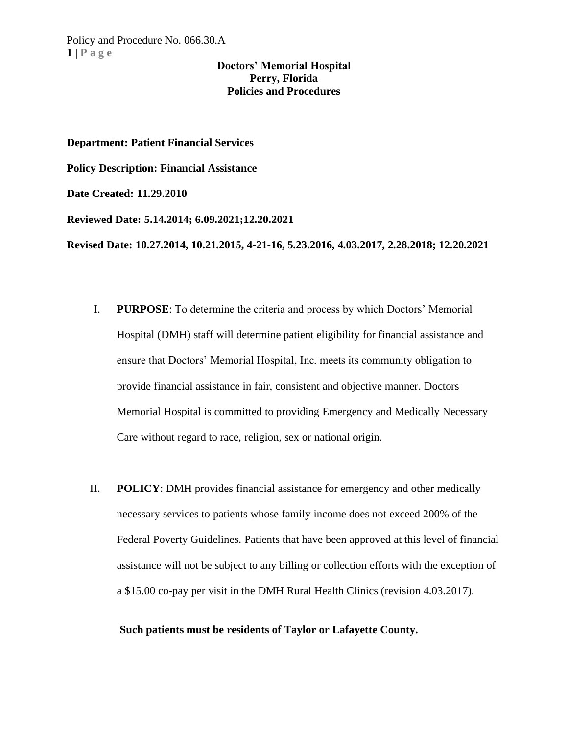**Department: Patient Financial Services**

**Policy Description: Financial Assistance**

**Date Created: 11.29.2010**

**Reviewed Date: 5.14.2014; 6.09.2021;12.20.2021**

**Revised Date: 10.27.2014, 10.21.2015, 4-21-16, 5.23.2016, 4.03.2017, 2.28.2018; 12.20.2021**

- I. **PURPOSE**: To determine the criteria and process by which Doctors' Memorial Hospital (DMH) staff will determine patient eligibility for financial assistance and ensure that Doctors' Memorial Hospital, Inc. meets its community obligation to provide financial assistance in fair, consistent and objective manner. Doctors Memorial Hospital is committed to providing Emergency and Medically Necessary Care without regard to race, religion, sex or national origin.
- II. **POLICY**: DMH provides financial assistance for emergency and other medically necessary services to patients whose family income does not exceed 200% of the Federal Poverty Guidelines. Patients that have been approved at this level of financial assistance will not be subject to any billing or collection efforts with the exception of a \$15.00 co-pay per visit in the DMH Rural Health Clinics (revision 4.03.2017).

#### **Such patients must be residents of Taylor or Lafayette County.**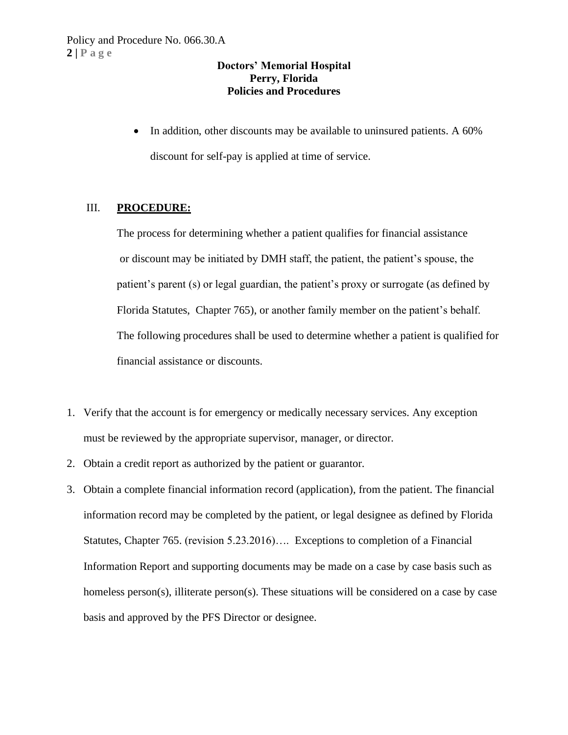• In addition, other discounts may be available to uninsured patients. A 60% discount for self-pay is applied at time of service.

# III. **PROCEDURE:**

The process for determining whether a patient qualifies for financial assistance or discount may be initiated by DMH staff, the patient, the patient's spouse, the patient's parent (s) or legal guardian, the patient's proxy or surrogate (as defined by Florida Statutes, Chapter 765), or another family member on the patient's behalf. The following procedures shall be used to determine whether a patient is qualified for financial assistance or discounts.

- 1. Verify that the account is for emergency or medically necessary services. Any exception must be reviewed by the appropriate supervisor, manager, or director.
- 2. Obtain a credit report as authorized by the patient or guarantor.
- 3. Obtain a complete financial information record (application), from the patient. The financial information record may be completed by the patient, or legal designee as defined by Florida Statutes, Chapter 765. (revision 5.23.2016)…. Exceptions to completion of a Financial Information Report and supporting documents may be made on a case by case basis such as homeless person(s), illiterate person(s). These situations will be considered on a case by case basis and approved by the PFS Director or designee.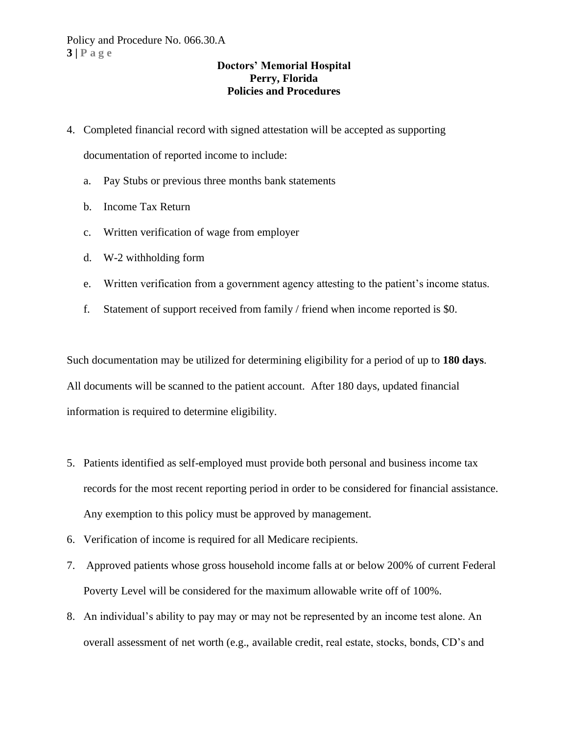- 4. Completed financial record with signed attestation will be accepted as supporting documentation of reported income to include:
	- a. Pay Stubs or previous three months bank statements
	- b. Income Tax Return
	- c. Written verification of wage from employer
	- d. W-2 withholding form
	- e. Written verification from a government agency attesting to the patient's income status.
	- f. Statement of support received from family / friend when income reported is \$0.

Such documentation may be utilized for determining eligibility for a period of up to **180 days**. All documents will be scanned to the patient account. After 180 days, updated financial information is required to determine eligibility.

- 5. Patients identified as self-employed must provide both personal and business income tax records for the most recent reporting period in order to be considered for financial assistance. Any exemption to this policy must be approved by management.
- 6. Verification of income is required for all Medicare recipients.
- 7. Approved patients whose gross household income falls at or below 200% of current Federal Poverty Level will be considered for the maximum allowable write off of 100%.
- 8. An individual's ability to pay may or may not be represented by an income test alone. An overall assessment of net worth (e.g., available credit, real estate, stocks, bonds, CD's and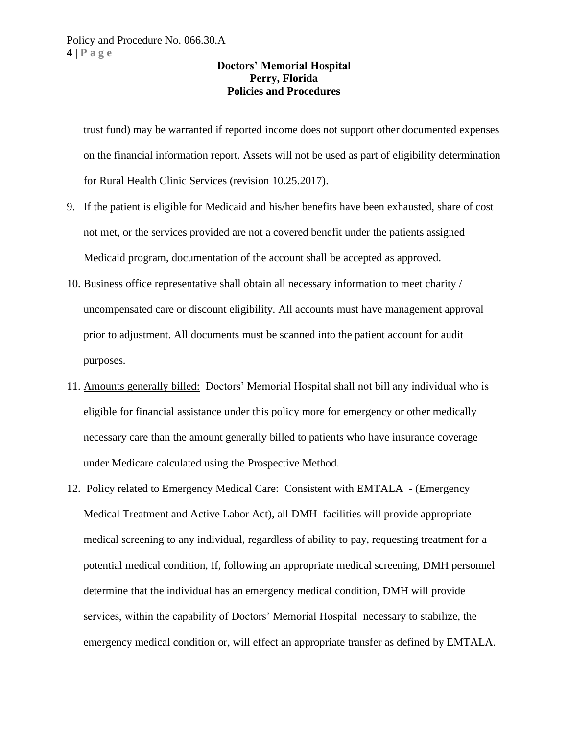trust fund) may be warranted if reported income does not support other documented expenses on the financial information report. Assets will not be used as part of eligibility determination for Rural Health Clinic Services (revision 10.25.2017).

- 9. If the patient is eligible for Medicaid and his/her benefits have been exhausted, share of cost not met, or the services provided are not a covered benefit under the patients assigned Medicaid program, documentation of the account shall be accepted as approved.
- 10. Business office representative shall obtain all necessary information to meet charity / uncompensated care or discount eligibility. All accounts must have management approval prior to adjustment. All documents must be scanned into the patient account for audit purposes.
- 11. Amounts generally billed: Doctors' Memorial Hospital shall not bill any individual who is eligible for financial assistance under this policy more for emergency or other medically necessary care than the amount generally billed to patients who have insurance coverage under Medicare calculated using the Prospective Method.
- 12. Policy related to Emergency Medical Care: Consistent with EMTALA (Emergency Medical Treatment and Active Labor Act), all DMH facilities will provide appropriate medical screening to any individual, regardless of ability to pay, requesting treatment for a potential medical condition, If, following an appropriate medical screening, DMH personnel determine that the individual has an emergency medical condition, DMH will provide services, within the capability of Doctors' Memorial Hospital necessary to stabilize, the emergency medical condition or, will effect an appropriate transfer as defined by EMTALA.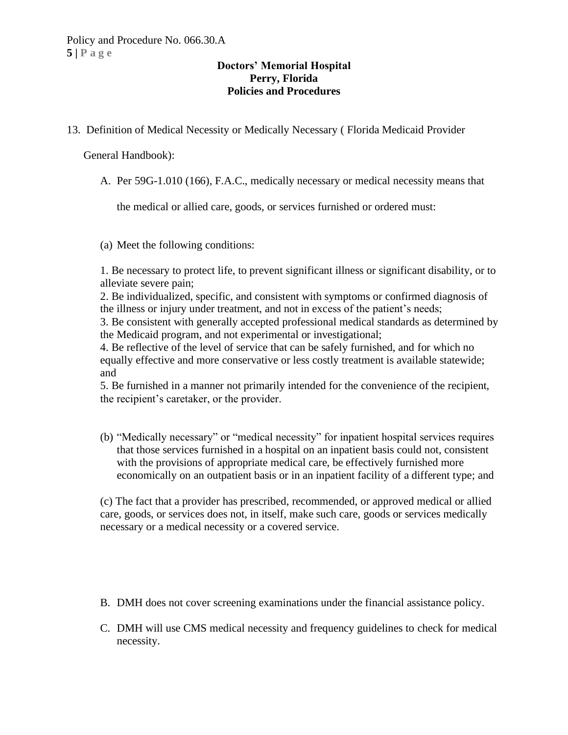13. Definition of Medical Necessity or Medically Necessary ( Florida Medicaid Provider

General Handbook):

A. Per 59G-1.010 (166), F.A.C., medically necessary or medical necessity means that

the medical or allied care, goods, or services furnished or ordered must:

(a) Meet the following conditions:

1. Be necessary to protect life, to prevent significant illness or significant disability, or to alleviate severe pain;

2. Be individualized, specific, and consistent with symptoms or confirmed diagnosis of the illness or injury under treatment, and not in excess of the patient's needs;

3. Be consistent with generally accepted professional medical standards as determined by the Medicaid program, and not experimental or investigational;

4. Be reflective of the level of service that can be safely furnished, and for which no equally effective and more conservative or less costly treatment is available statewide; and

5. Be furnished in a manner not primarily intended for the convenience of the recipient, the recipient's caretaker, or the provider.

(b) "Medically necessary" or "medical necessity" for inpatient hospital services requires that those services furnished in a hospital on an inpatient basis could not, consistent with the provisions of appropriate medical care, be effectively furnished more economically on an outpatient basis or in an inpatient facility of a different type; and

(c) The fact that a provider has prescribed, recommended, or approved medical or allied care, goods, or services does not, in itself, make such care, goods or services medically necessary or a medical necessity or a covered service.

- B. DMH does not cover screening examinations under the financial assistance policy.
- C. DMH will use CMS medical necessity and frequency guidelines to check for medical necessity.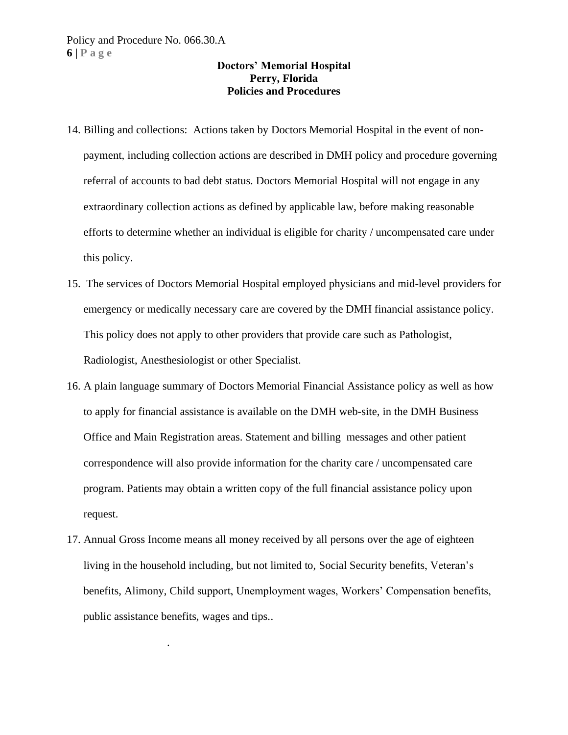- 14. Billing and collections: Actions taken by Doctors Memorial Hospital in the event of nonpayment, including collection actions are described in DMH policy and procedure governing referral of accounts to bad debt status. Doctors Memorial Hospital will not engage in any extraordinary collection actions as defined by applicable law, before making reasonable efforts to determine whether an individual is eligible for charity / uncompensated care under this policy.
- 15. The services of Doctors Memorial Hospital employed physicians and mid-level providers for emergency or medically necessary care are covered by the DMH financial assistance policy. This policy does not apply to other providers that provide care such as Pathologist, Radiologist, Anesthesiologist or other Specialist.
- 16. A plain language summary of Doctors Memorial Financial Assistance policy as well as how to apply for financial assistance is available on the DMH web-site, in the DMH Business Office and Main Registration areas. Statement and billing messages and other patient correspondence will also provide information for the charity care / uncompensated care program. Patients may obtain a written copy of the full financial assistance policy upon request.
- 17. Annual Gross Income means all money received by all persons over the age of eighteen living in the household including, but not limited to, Social Security benefits, Veteran's benefits, Alimony, Child support, Unemployment wages, Workers' Compensation benefits, public assistance benefits, wages and tips..

.